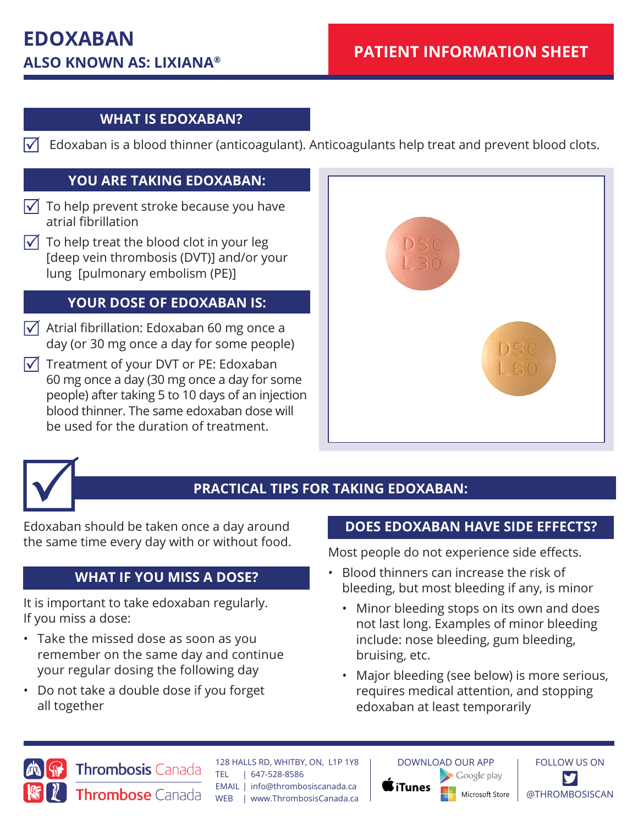## **WHAT IS EDOXABAN?**

 $\sqrt{\phantom{a}}$  Edoxaban is a blood thinner (anticoagulant). Anticoagulants help treat and prevent blood clots.

### **YOU ARE TAKING EDOXABAN:**

- $\sqrt{\phantom{a}}$  To help prevent stroke because you have atrial fibrillation
- $\sqrt{\phantom{a}}$  To help treat the blood clot in your leg [deep vein thrombosis (DVT)] and/or your lung [pulmonary embolism (PE)]

## **YOUR DOSE OF EDOXABAN IS:**

- $\sqrt{\phantom{a}}$  Atrial fibrillation: Edoxaban 60 mg once a day (or 30 mg once a day for some people)
- $\sqrt{\phantom{a}}$  Treatment of your DVT or PE: Edoxaban 60 mg once a day (30 mg once a day for some people) after taking 5 to 10 days of an injection blood thinner. The same edoxaban dose will be used for the duration of treatment.





# **PRACTICAL TIPS FOR TAKING EDOXABAN:**

Edoxaban should be taken once a day around the same time every day with or without food.

## **WHAT IF YOU MISS A DOSE?**

It is important to take edoxaban regularly. If you miss a dose:

- Take the missed dose as soon as you remember on the same day and continue your regular dosing the following day
- Do not take a double dose if you forget all together

### **DOES EDOXABAN HAVE SIDE EFFECTS?**

Most people do not experience side effects.

- Blood thinners can increase the risk of bleeding, but most bleeding if any, is minor
	- Minor bleeding stops on its own and does not last long. Examples of minor bleeding include: nose bleeding, gum bleeding, bruising, etc.
	- Major bleeding (see below) is more serious, requires medical attention, and stopping edoxaban at least temporarily



128 HALLS RD, WHITBY, ON, L1P 1Y8 **Thrombosis Canada** TEL | 647-528-8586 EMAIL | info@thrombosiscanada.ca Thrombose Canada WEB | www.ThrombosisCanada.ca

**iTunes** 



FOLLOW US ON @THROMBOSISCAN